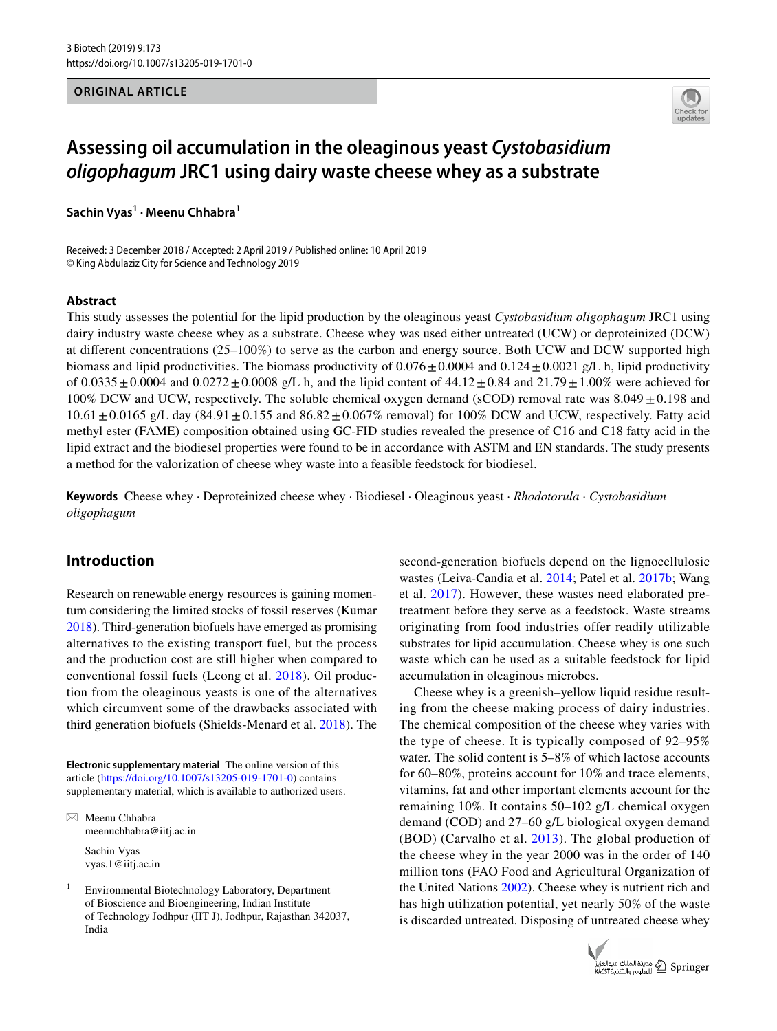#### **ORIGINAL ARTICLE**



# **Assessing oil accumulation in the oleaginous yeast Cystobasidium oligophagum JRC1 using dairy waste cheese whey as a substrate**

**Sachin Vyas<sup>1</sup> · Meenu Chhabra<sup>1</sup>**

Received: 3 December 2018 / Accepted: 2 April 2019 / Published online: 10 April 2019 © King Abdulaziz City for Science and Technology 2019

#### **Abstract**

This study assesses the potential for the lipid production by the oleaginous yeast *Cystobasidium oligophagum* JRC1 using dairy industry waste cheese whey as a substrate. Cheese whey was used either untreated (UCW) or deproteinized (DCW) at different concentrations (25–100%) to serve as the carbon and energy source. Both UCW and DCW supported high biomass and lipid productivities. The biomass productivity of  $0.076 \pm 0.0004$  and  $0.124 \pm 0.0021$  g/L h, lipid productivity of  $0.0335 \pm 0.0004$  and  $0.0272 \pm 0.0008$  g/L h, and the lipid content of  $44.12 \pm 0.84$  and  $21.79 \pm 1.00\%$  were achieved for 100% DCW and UCW, respectively. The soluble chemical oxygen demand (sCOD) removal rate was  $8.049 \pm 0.198$  and  $10.61 \pm 0.0165$  g/L day  $(84.91 \pm 0.155$  and  $86.82 \pm 0.067\%$  removal) for  $100\%$  DCW and UCW, respectively. Fatty acid methyl ester (FAME) composition obtained using GC-FID studies revealed the presence of C16 and C18 fatty acid in the lipid extract and the biodiesel properties were found to be in accordance with ASTM and EN standards. The study presents a method for the valorization of cheese whey waste into a feasible feedstock for biodiesel.

**Keywords** Cheese whey · Deproteinized cheese whey · Biodiesel · Oleaginous yeast · *Rhodotorula* · *Cystobasidium oligophagum*

## **Introduction**

Research on renewable energy resources is gaining momentum considering the limited stocks of fossil reserves (Kumar [2018\)](#page-11-0). Third-generation biofuels have emerged as promising alternatives to the existing transport fuel, but the process and the production cost are still higher when compared to conventional fossil fuels (Leong et al. [2018\)](#page-11-1). Oil production from the oleaginous yeasts is one of the alternatives which circumvent some of the drawbacks associated with third generation biofuels (Shields-Menard et al. [2018](#page-11-2)). The

**Electronic supplementary material** The online version of this article (https://doi.org/10.1007/s13205-019-1701-0) contains supplementary material, which is available to authorized users.

 $\boxtimes$  Meenu Chhabra meenuchhabra@iitj.ac.in Sachin Vyas vyas.1@iitj.ac.in

1 Environmental Biotechnology Laboratory, Department of Bioscience and Bioengineering, Indian Institute of Technology Jodhpur (IIT J), Jodhpur, Rajasthan 342037, India

second-generation biofuels depend on the lignocellulosic wastes (Leiva-Candia et al. [2014](#page-11-3); Patel et al. [2017b](#page-11-4); Wang et al. [2017\)](#page-12-0). However, these wastes need elaborated pretreatment before they serve as a feedstock. Waste streams originating from food industries offer readily utilizable substrates for lipid accumulation. Cheese whey is one such waste which can be used as a suitable feedstock for lipid accumulation in oleaginous microbes.

Cheese whey is a greenish–yellow liquid residue resulting from the cheese making process of dairy industries. The chemical composition of the cheese whey varies with the type of cheese. It is typically composed of 92–95% water. The solid content is 5–8% of which lactose accounts for 60–80%, proteins account for 10% and trace elements, vitamins, fat and other important elements account for the remaining 10%. It contains 50–102 g/L chemical oxygen demand (COD) and 27–60 g/L biological oxygen demand (BOD) (Carvalho et al. [2013\)](#page-11-5). The global production of the cheese whey in the year 2000 was in the order of 140 million tons (FAO Food and Agricultural Organization of the United Nations [2002\)](#page-11-6). Cheese whey is nutrient rich and has high utilization potential, yet nearly 50% of the waste is discarded untreated. Disposing of untreated cheese whey

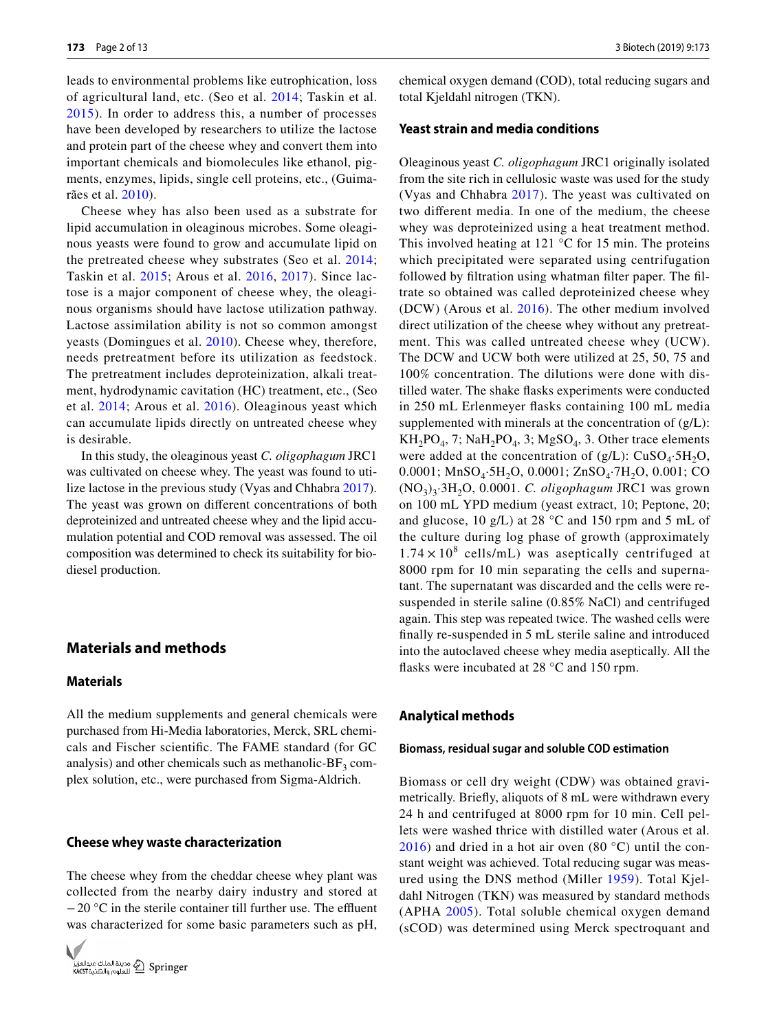leads to environmental problems like eutrophication, loss of agricultural land, etc. (Seo et al. [2014](#page-11-7); Taskin et al. [2015](#page-11-8)). In order to address this, a number of processes have been developed by researchers to utilize the lactose and protein part of the cheese whey and convert them into important chemicals and biomolecules like ethanol, pigments, enzymes, lipids, single cell proteins, etc., (Guimarães et al. [2010](#page-11-9)).

Cheese whey has also been used as a substrate for lipid accumulation in oleaginous microbes. Some oleaginous yeasts were found to grow and accumulate lipid on the pretreated cheese whey substrates (Seo et al. [2014](#page-11-7); Taskin et al. [2015;](#page-11-8) Arous et al. [2016,](#page-11-10) [2017\)](#page-11-11). Since lactose is a major component of cheese whey, the oleaginous organisms should have lactose utilization pathway. Lactose assimilation ability is not so common amongst yeasts (Domingues et al. [2010\)](#page-11-12). Cheese whey, therefore, needs pretreatment before its utilization as feedstock. The pretreatment includes deproteinization, alkali treatment, hydrodynamic cavitation (HC) treatment, etc., (Seo et al. [2014;](#page-11-7) Arous et al. [2016\)](#page-11-10). Oleaginous yeast which can accumulate lipids directly on untreated cheese whey is desirable.

In this study, the oleaginous yeast *C. oligophagum* JRC1 was cultivated on cheese whey. The yeast was found to utilize lactose in the previous study (Vyas and Chhabra [2017](#page-12-1)). The yeast was grown on different concentrations of both deproteinized and untreated cheese whey and the lipid accumulation potential and COD removal was assessed. The oil composition was determined to check its suitability for biodiesel production.

## **Materials and methods**

## **Materials**

All the medium supplements and general chemicals were purchased from Hi-Media laboratories, Merck, SRL chemicals and Fischer scientific. The FAME standard (for GC analysis) and other chemicals such as methanolic- $BF<sub>3</sub>$  complex solution, etc., were purchased from Sigma-Aldrich.

#### **Cheese whey waste characterization**

The cheese whey from the cheddar cheese whey plant was collected from the nearby dairy industry and stored at − 20 °C in the sterile container till further use. The effluent was characterized for some basic parameters such as pH,



chemical oxygen demand (COD), total reducing sugars and total Kjeldahl nitrogen (TKN).

## **Yeast strain and media conditions**

Oleaginous yeast *C. oligophagum* JRC1 originally isolated from the site rich in cellulosic waste was used for the study (Vyas and Chhabra [2017\)](#page-12-1). The yeast was cultivated on two different media. In one of the medium, the cheese whey was deproteinized using a heat treatment method. This involved heating at 121  $\degree$ C for 15 min. The proteins which precipitated were separated using centrifugation followed by filtration using whatman filter paper. The filtrate so obtained was called deproteinized cheese whey (DCW) (Arous et al. [2016\)](#page-11-10). The other medium involved direct utilization of the cheese whey without any pretreatment. This was called untreated cheese whey (UCW). The DCW and UCW both were utilized at 25, 50, 75 and 100% concentration. The dilutions were done with distilled water. The shake flasks experiments were conducted in 250 mL Erlenmeyer flasks containing 100 mL media supplemented with minerals at the concentration of  $(g/L)$ :  $KH_2PO_4$ , 7;  $NaH_2PO_4$ , 3;  $MgSO_4$ , 3. Other trace elements were added at the concentration of  $(g/L)$ : CuSO<sub>4</sub>·5H<sub>2</sub>O, 0.0001;  $MnSO_4$ ·5H<sub>2</sub>O, 0.0001;  $ZnSO_4$ ·7H<sub>2</sub>O, 0.001; CO (NO<sup>3</sup> )3 ·3H2O, 0.0001. *C. oligophagum* JRC1 was grown on 100 mL YPD medium (yeast extract, 10; Peptone, 20; and glucose, 10 g/L) at 28 °C and 150 rpm and 5 mL of the culture during log phase of growth (approximately  $1.74 \times 10^8$  cells/mL) was aseptically centrifuged at 8000 rpm for 10 min separating the cells and supernatant. The supernatant was discarded and the cells were resuspended in sterile saline (0.85% NaCl) and centrifuged again. This step was repeated twice. The washed cells were finally re-suspended in 5 mL sterile saline and introduced into the autoclaved cheese whey media aseptically. All the flasks were incubated at 28 °C and 150 rpm.

#### **Analytical methods**

#### **Biomass, residual sugar and soluble COD estimation**

Biomass or cell dry weight (CDW) was obtained gravimetrically. Briefly, aliquots of 8 mL were withdrawn every 24 h and centrifuged at 8000 rpm for 10 min. Cell pellets were washed thrice with distilled water (Arous et al. [2016](#page-11-10)) and dried in a hot air oven  $(80 °C)$  until the constant weight was achieved. Total reducing sugar was measured using the DNS method (Miller [1959\)](#page-11-13). Total Kjeldahl Nitrogen (TKN) was measured by standard methods (APHA [2005](#page-11-14)). Total soluble chemical oxygen demand (sCOD) was determined using Merck spectroquant and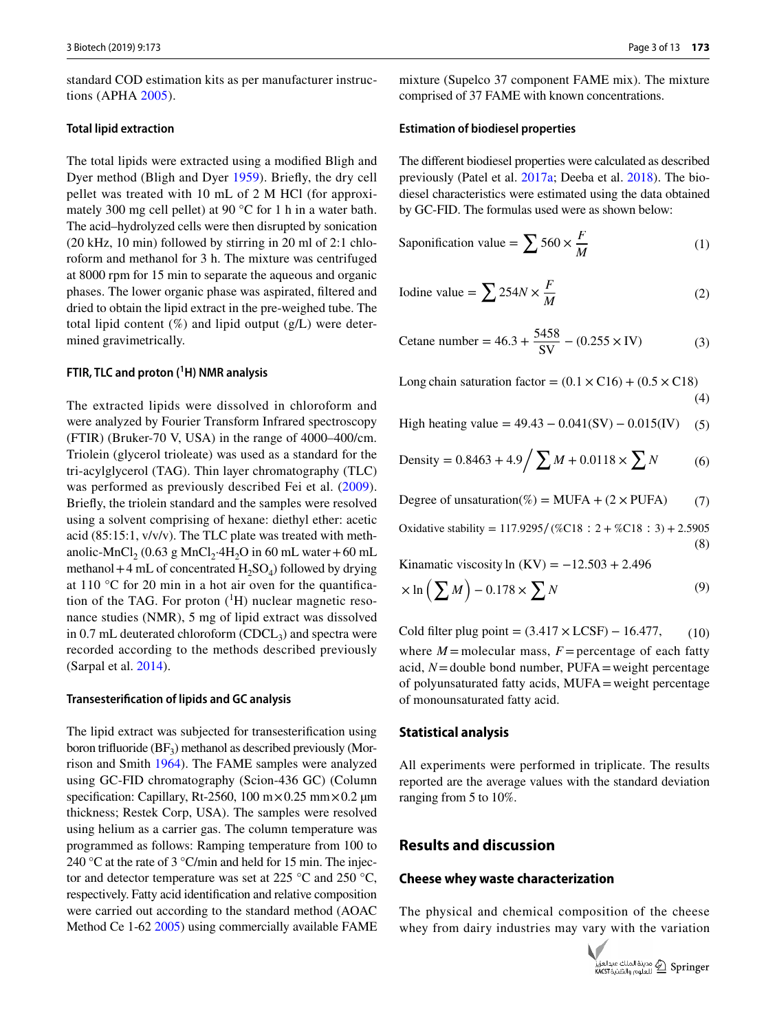standard COD estimation kits as per manufacturer instructions (APHA [2005\)](#page-11-14).

#### **Total lipid extraction**

The total lipids were extracted using a modified Bligh and Dyer method (Bligh and Dyer [1959\)](#page-11-15). Briefly, the dry cell pellet was treated with 10 mL of 2 M HCl (for approximately 300 mg cell pellet) at 90 °C for 1 h in a water bath. The acid–hydrolyzed cells were then disrupted by sonication (20 kHz, 10 min) followed by stirring in 20 ml of 2:1 chloroform and methanol for 3 h. The mixture was centrifuged at 8000 rpm for 15 min to separate the aqueous and organic phases. The lower organic phase was aspirated, filtered and dried to obtain the lipid extract in the pre-weighed tube. The total lipid content  $(\%)$  and lipid output  $(g/L)$  were determined gravimetrically.

#### **FTIR, TLC and proton (<sup>1</sup>H) NMR analysis**

The extracted lipids were dissolved in chloroform and were analyzed by Fourier Transform Infrared spectroscopy (FTIR) (Bruker-70 V, USA) in the range of 4000–400/cm. Triolein (glycerol trioleate) was used as a standard for the tri-acylglycerol (TAG). Thin layer chromatography (TLC) was performed as previously described Fei et al. [\(2009](#page-11-16)). Briefly, the triolein standard and the samples were resolved using a solvent comprising of hexane: diethyl ether: acetic acid (85:15:1, v/v/v). The TLC plate was treated with methanolic-MnCl<sub>2</sub> (0.63 g MnCl<sub>2</sub>·4H<sub>2</sub>O in 60 mL water + 60 mL methanol  $+4$  mL of concentrated  $H_2SO_4$ ) followed by drying at 110 °C for 20 min in a hot air oven for the quantification of the TAG. For proton  $({}^{1}H)$  nuclear magnetic resonance studies (NMR), 5 mg of lipid extract was dissolved in  $0.7$  mL deuterated chloroform (CDCL<sub>3</sub>) and spectra were recorded according to the methods described previously (Sarpal et al. [2014](#page-11-17)).

#### **Transesterification of lipids and GC analysis**

The lipid extract was subjected for transesterification using boron trifluoride  $(BF_3)$  methanol as described previously (Morrison and Smith [1964\)](#page-11-18). The FAME samples were analyzed using GC-FID chromatography (Scion-436 GC) (Column specification: Capillary, Rt-2560, 100 m $\times$ 0.25 mm $\times$ 0.2 µm thickness; Restek Corp, USA). The samples were resolved using helium as a carrier gas. The column temperature was programmed as follows: Ramping temperature from 100 to 240 °C at the rate of 3 °C/min and held for 15 min. The injector and detector temperature was set at 225 °C and 250 °C, respectively. Fatty acid identification and relative composition were carried out according to the standard method (AOAC Method Ce 1-62 [2005](#page-11-19)) using commercially available FAME mixture (Supelco 37 component FAME mix). The mixture comprised of 37 FAME with known concentrations.

#### **Estimation of biodiesel properties**

The different biodiesel properties were calculated as described previously (Patel et al. [2017a](#page-11-20); Deeba et al. [2018](#page-11-21)). The biodiesel characteristics were estimated using the data obtained by GC-FID. The formulas used were as shown below:

Saponification value = 
$$
\sum 560 \times \frac{F}{M}
$$
 (1)

Iodine value = 
$$
\sum 254N \times \frac{F}{M}
$$
 (2)

$$
Cetane number = 46.3 + \frac{5458}{SV} - (0.255 \times IV)
$$
 (3)

(4) Long chain saturation factor =  $(0.1 \times C16) + (0.5 \times C18)$ 

High heating value = 
$$
49.43 - 0.041
$$
(SV)  $- 0.015$ (IV) (5)

Density = 
$$
0.8463 + 4.9 / \sum M + 0.0118 \times \sum N
$$
 (6)

Degree of unsaturation(%) = MUFA +  $(2 \times$  PUFA) (7)

(8) Oxidative stability = 117.9295∕(%C18 ∶ 2 + %C18 ∶ 3) + 2.5905

Kinamatic viscosity ln (KV) =  $-12.503 + 2.496$ 

$$
\times \ln\left(\sum M\right) - 0.178 \times \sum N\tag{9}
$$

Cold filter plug point =  $(3.417 \times \text{LCSF}) - 16.477$ , (10)

where  $M$  = molecular mass,  $F$  = percentage of each fatty acid,  $N =$  double bond number,  $PUFA =$  weight percentage of polyunsaturated fatty acids, MUFA = weight percentage of monounsaturated fatty acid.

#### **Statistical analysis**

All experiments were performed in triplicate. The results reported are the average values with the standard deviation ranging from 5 to 10%.

## **Results and discussion**

#### **Cheese whey waste characterization**

The physical and chemical composition of the cheese whey from dairy industries may vary with the variation

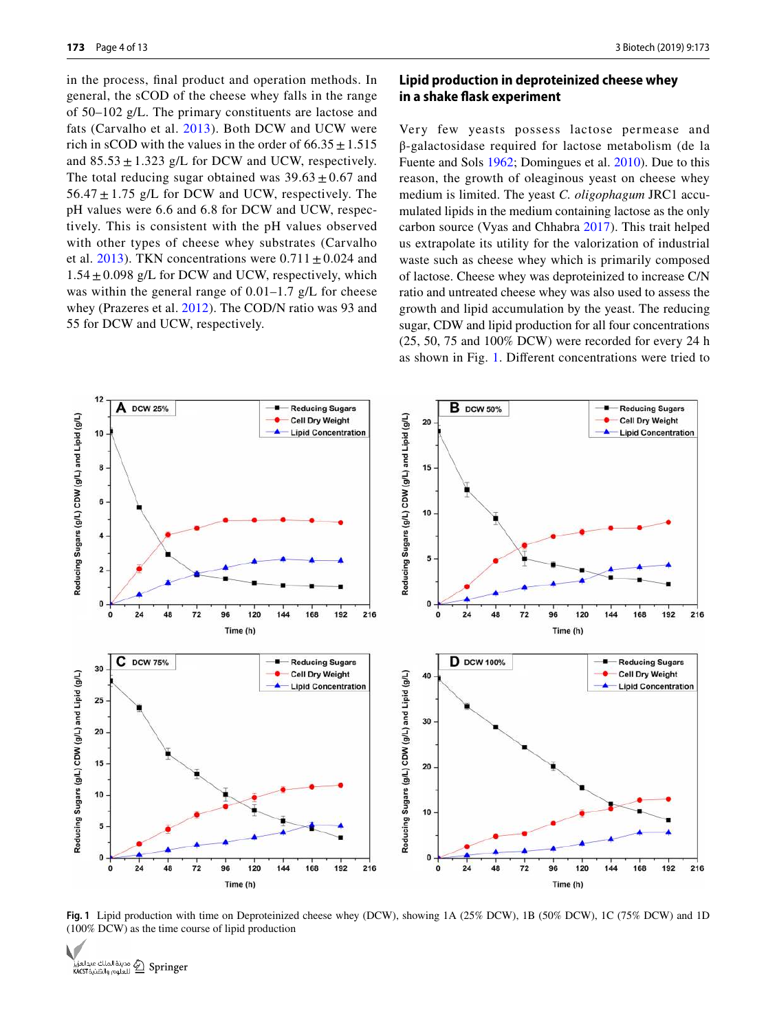in the process, final product and operation methods. In general, the sCOD of the cheese whey falls in the range of 50–102 g/L. The primary constituents are lactose and fats (Carvalho et al. [2013\)](#page-11-5). Both DCW and UCW were rich in sCOD with the values in the order of  $66.35 \pm 1.515$ and  $85.53 \pm 1.323$  g/L for DCW and UCW, respectively. The total reducing sugar obtained was  $39.63 \pm 0.67$  and  $56.47 \pm 1.75$  g/L for DCW and UCW, respectively. The pH values were 6.6 and 6.8 for DCW and UCW, respectively. This is consistent with the pH values observed with other types of cheese whey substrates (Carvalho et al. [2013](#page-11-5)). TKN concentrations were  $0.711 \pm 0.024$  and  $1.54 \pm 0.098$  g/L for DCW and UCW, respectively, which was within the general range of  $0.01-1.7$  g/L for cheese whey (Prazeres et al. [2012](#page-11-22)). The COD/N ratio was 93 and 55 for DCW and UCW, respectively.

## **Lipid production in deproteinized cheese whey in a shake flask experiment**

Very few yeasts possess lactose permease and β-galactosidase required for lactose metabolism (de la Fuente and Sols [1962;](#page-11-23) Domingues et al. [2010](#page-11-12)). Due to this reason, the growth of oleaginous yeast on cheese whey medium is limited. The yeast *C. oligophagum* JRC1 accumulated lipids in the medium containing lactose as the only carbon source (Vyas and Chhabra [2017\)](#page-12-1). This trait helped us extrapolate its utility for the valorization of industrial waste such as cheese whey which is primarily composed of lactose. Cheese whey was deproteinized to increase C/N ratio and untreated cheese whey was also used to assess the growth and lipid accumulation by the yeast. The reducing sugar, CDW and lipid production for all four concentrations (25, 50, 75 and 100% DCW) were recorded for every 24 h as shown in Fig. [1.](#page-3-0) Different concentrations were tried to



<span id="page-3-0"></span>**Fig. 1** Lipid production with time on Deproteinized cheese whey (DCW), showing 1A (25% DCW), 1B (50% DCW), 1C (75% DCW) and 1D (100% DCW) as the time course of lipid production

الملك عبدالعزيز Cpringer<br>KACST العلوم والتقنية KACST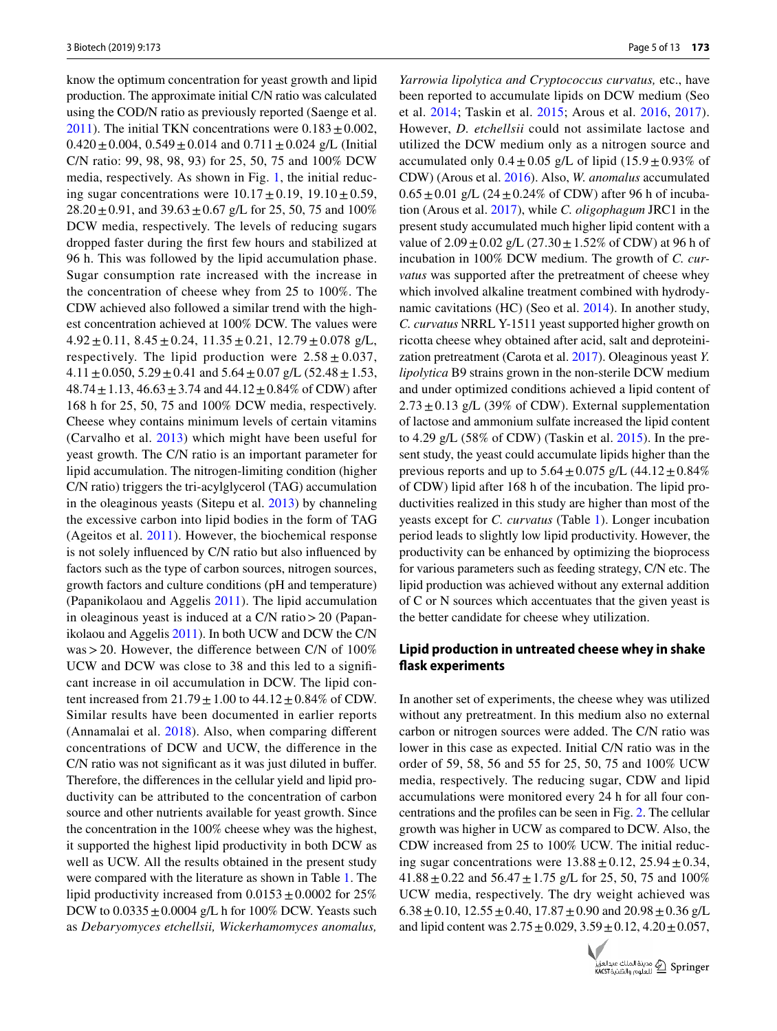know the optimum concentration for yeast growth and lipid production. The approximate initial C/N ratio was calculated using the COD/N ratio as previously reported (Saenge et al. [2011](#page-11-24)). The initial TKN concentrations were  $0.183 \pm 0.002$ ,  $0.420 \pm 0.004$ ,  $0.549 \pm 0.014$  and  $0.711 \pm 0.024$  g/L (Initial C/N ratio: 99, 98, 98, 93) for 25, 50, 75 and 100% DCW media, respectively. As shown in Fig. [1,](#page-3-0) the initial reducing sugar concentrations were  $10.17 \pm 0.19$ ,  $19.10 \pm 0.59$ ,  $28.20 \pm 0.91$ , and  $39.63 \pm 0.67$  g/L for 25, 50, 75 and 100% DCW media, respectively. The levels of reducing sugars dropped faster during the first few hours and stabilized at 96 h. This was followed by the lipid accumulation phase. Sugar consumption rate increased with the increase in the concentration of cheese whey from 25 to 100%. The CDW achieved also followed a similar trend with the highest concentration achieved at 100% DCW. The values were  $4.92 \pm 0.11$ ,  $8.45 \pm 0.24$ ,  $11.35 \pm 0.21$ ,  $12.79 \pm 0.078$  g/L, respectively. The lipid production were  $2.58 \pm 0.037$ ,  $4.11 \pm 0.050$ ,  $5.29 \pm 0.41$  and  $5.64 \pm 0.07$  g/L (52.48  $\pm 1.53$ ,  $48.74 \pm 1.13$ ,  $46.63 \pm 3.74$  and  $44.12 \pm 0.84\%$  of CDW) after 168 h for 25, 50, 75 and 100% DCW media, respectively. Cheese whey contains minimum levels of certain vitamins (Carvalho et al. [2013\)](#page-11-5) which might have been useful for yeast growth. The C/N ratio is an important parameter for lipid accumulation. The nitrogen-limiting condition (higher C/N ratio) triggers the tri-acylglycerol (TAG) accumulation in the oleaginous yeasts (Sitepu et al. [2013](#page-11-25)) by channeling the excessive carbon into lipid bodies in the form of TAG (Ageitos et al. [2011](#page-11-26)). However, the biochemical response is not solely influenced by C/N ratio but also influenced by factors such as the type of carbon sources, nitrogen sources, growth factors and culture conditions (pH and temperature) (Papanikolaou and Aggelis [2011\)](#page-11-27). The lipid accumulation in oleaginous yeast is induced at a C/N ratio > 20 (Papanikolaou and Aggelis [2011](#page-11-27)). In both UCW and DCW the C/N was > 20. However, the difference between C/N of 100% UCW and DCW was close to 38 and this led to a significant increase in oil accumulation in DCW. The lipid content increased from  $21.79 \pm 1.00$  to  $44.12 \pm 0.84\%$  of CDW. Similar results have been documented in earlier reports (Annamalai et al. [2018](#page-11-28)). Also, when comparing different concentrations of DCW and UCW, the difference in the C/N ratio was not significant as it was just diluted in buffer. Therefore, the differences in the cellular yield and lipid productivity can be attributed to the concentration of carbon source and other nutrients available for yeast growth. Since the concentration in the 100% cheese whey was the highest, it supported the highest lipid productivity in both DCW as well as UCW. All the results obtained in the present study were compared with the literature as shown in Table [1.](#page-5-0) The lipid productivity increased from  $0.0153 \pm 0.0002$  for 25% DCW to  $0.0335 \pm 0.0004$  g/L h for 100% DCW. Yeasts such as *Debaryomyces etchellsii, Wickerhamomyces anomalus,* 

*Yarrowia lipolytica and Cryptococcus curvatus,* etc., have been reported to accumulate lipids on DCW medium (Seo et al. [2014;](#page-11-7) Taskin et al. [2015;](#page-11-8) Arous et al. [2016,](#page-11-10) [2017](#page-11-11)). However, *D. etchellsii* could not assimilate lactose and utilized the DCW medium only as a nitrogen source and accumulated only  $0.4 \pm 0.05$  g/L of lipid  $(15.9 \pm 0.93\%$  of CDW) (Arous et al. [2016\)](#page-11-10). Also, *W. anomalus* accumulated  $0.65 \pm 0.01$  g/L (24  $\pm$  0.24% of CDW) after 96 h of incubation (Arous et al. [2017\)](#page-11-11), while *C. oligophagum* JRC1 in the present study accumulated much higher lipid content with a value of  $2.09 \pm 0.02$  g/L (27.30  $\pm$  1.52% of CDW) at 96 h of incubation in 100% DCW medium. The growth of *C. curvatus* was supported after the pretreatment of cheese whey which involved alkaline treatment combined with hydrodynamic cavitations (HC) (Seo et al. [2014\)](#page-11-7). In another study, *C. curvatus* NRRL Y-1511 yeast supported higher growth on ricotta cheese whey obtained after acid, salt and deproteinization pretreatment (Carota et al. [2017\)](#page-11-29). Oleaginous yeast *Y. lipolytica* B9 strains grown in the non-sterile DCW medium and under optimized conditions achieved a lipid content of  $2.73 \pm 0.13$  g/L (39% of CDW). External supplementation of lactose and ammonium sulfate increased the lipid content to 4.29 g/L (58% of CDW) (Taskin et al. [2015](#page-11-8)). In the present study, the yeast could accumulate lipids higher than the previous reports and up to  $5.64 \pm 0.075$  g/L  $(44.12 \pm 0.84\%$ of CDW) lipid after 168 h of the incubation. The lipid productivities realized in this study are higher than most of the yeasts except for *C. curvatus* (Table [1\)](#page-5-0). Longer incubation period leads to slightly low lipid productivity. However, the productivity can be enhanced by optimizing the bioprocess for various parameters such as feeding strategy, C/N etc. The lipid production was achieved without any external addition of C or N sources which accentuates that the given yeast is the better candidate for cheese whey utilization.

## **Lipid production in untreated cheese whey in shake flask experiments**

In another set of experiments, the cheese whey was utilized without any pretreatment. In this medium also no external carbon or nitrogen sources were added. The C/N ratio was lower in this case as expected. Initial C/N ratio was in the order of 59, 58, 56 and 55 for 25, 50, 75 and 100% UCW media, respectively. The reducing sugar, CDW and lipid accumulations were monitored every 24 h for all four concentrations and the profiles can be seen in Fig. [2.](#page-6-0) The cellular growth was higher in UCW as compared to DCW. Also, the CDW increased from 25 to 100% UCW. The initial reducing sugar concentrations were  $13.88 \pm 0.12$ ,  $25.94 \pm 0.34$ ,  $41.88 \pm 0.22$  and  $56.47 \pm 1.75$  g/L for 25, 50, 75 and 100% UCW media, respectively. The dry weight achieved was  $6.38 \pm 0.10$ ,  $12.55 \pm 0.40$ ,  $17.87 \pm 0.90$  and  $20.98 \pm 0.36$  g/L and lipid content was  $2.75 \pm 0.029$ ,  $3.59 \pm 0.12$ ,  $4.20 \pm 0.057$ ,

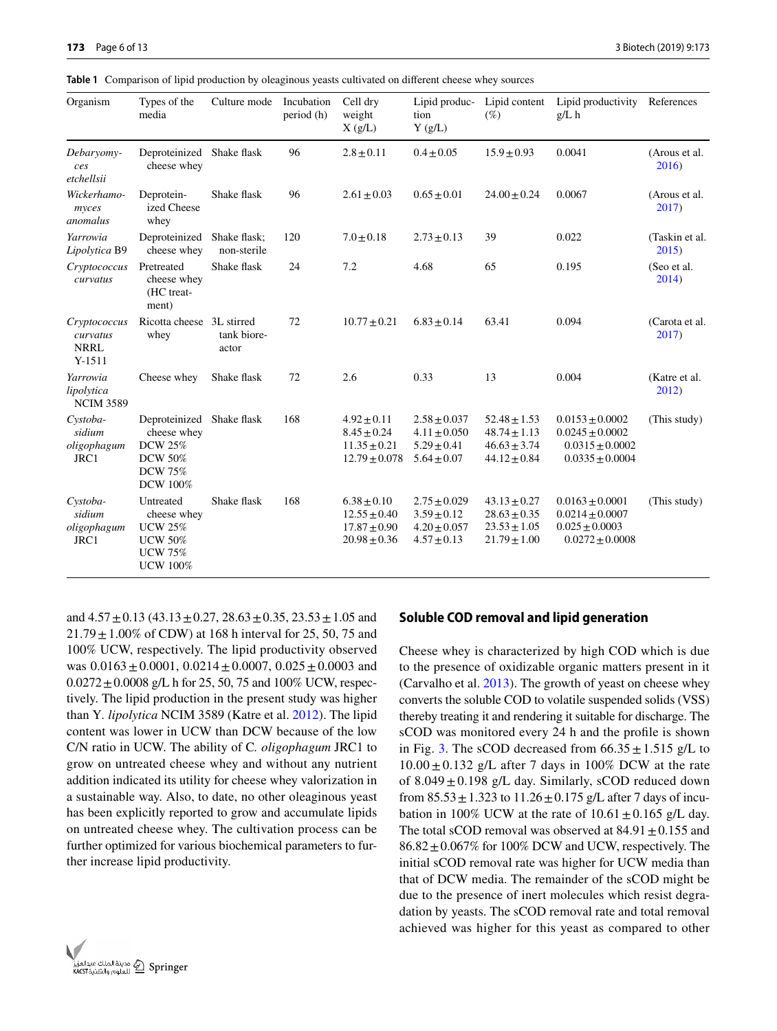<span id="page-5-0"></span>**Table 1** Comparison of lipid production by oleaginous yeasts cultivated on different cheese whey sources

| Organism                                            | Types of the<br>media                                                                             | Culture mode                | Incubation<br>period (h) | Cell dry<br>weight<br>X(g/L)                                                | Lipid produc-<br>tion<br>Y(g/L)                                            | Lipid content<br>$(\%)$                                                      | Lipid productivity References<br>$g/L$ h                                                 |                         |
|-----------------------------------------------------|---------------------------------------------------------------------------------------------------|-----------------------------|--------------------------|-----------------------------------------------------------------------------|----------------------------------------------------------------------------|------------------------------------------------------------------------------|------------------------------------------------------------------------------------------|-------------------------|
| Debaryomy-<br>ces<br>etchellsii                     | Deproteinized Shake flask<br>cheese whey                                                          |                             | 96                       | $2.8 \pm 0.11$                                                              | $0.4 \pm 0.05$                                                             | $15.9 \pm 0.93$                                                              | 0.0041                                                                                   | (Arous et al.<br>2016)  |
| Wickerhamo-<br>myces<br>anomalus                    | Deprotein-<br>ized Cheese<br>whey                                                                 | Shake flask                 | 96                       | $2.61 \pm 0.03$                                                             | $0.65 \pm 0.01$                                                            | $24.00 \pm 0.24$                                                             | 0.0067                                                                                   | (Arous et al.<br>2017)  |
| Yarrowia<br>Lipolytica B9                           | Deproteinized<br>cheese whey                                                                      | Shake flask;<br>non-sterile | 120                      | $7.0 \pm 0.18$                                                              | $2.73 \pm 0.13$                                                            | 39                                                                           | 0.022                                                                                    | (Taskin et al.<br>2015  |
| Cryptococcus<br>curvatus                            | Pretreated<br>cheese whey<br>(HC treat-<br>ment)                                                  | Shake flask                 | 24                       | 7.2                                                                         | 4.68                                                                       | 65                                                                           | 0.195                                                                                    | (Seo et al.<br>2014)    |
| Cryptococcus<br>curvatus<br><b>NRRL</b><br>$Y-1511$ | Ricotta cheese 3L stirred<br>whey                                                                 | tank biore-<br>actor        | 72                       | $10.77 \pm 0.21$                                                            | $6.83 \pm 0.14$                                                            | 63.41                                                                        | 0.094                                                                                    | (Carota et al.<br>2017) |
| Yarrowia<br>lipolytica<br><b>NCIM 3589</b>          | Cheese whey                                                                                       | Shake flask                 | 72                       | 2.6                                                                         | 0.33                                                                       | 13                                                                           | 0.004                                                                                    | (Katre et al.<br>2012)  |
| Cystoba-<br>sidium<br>oligophagum<br>JRC1           | Deproteinized<br>cheese whey<br><b>DCW 25%</b><br><b>DCW 50%</b><br><b>DCW 75%</b><br>DCW 100%    | Shake flask                 | 168                      | $4.92 \pm 0.11$<br>$8.45 \pm 0.24$<br>$11.35 \pm 0.21$<br>$12.79 \pm 0.078$ | $2.58 \pm 0.037$<br>$4.11 \pm 0.050$<br>$5.29 \pm 0.41$<br>$5.64 \pm 0.07$ | $52.48 \pm 1.53$<br>$48.74 \pm 1.13$<br>$46.63 \pm 3.74$<br>$44.12 \pm 0.84$ | $0.0153 \pm 0.0002$<br>$0.0245 \pm 0.0002$<br>$0.0315 \pm 0.0002$<br>$0.0335 \pm 0.0004$ | (This study)            |
| Cystoba-<br>sidium<br>oligophagum<br>JRC1           | Untreated<br>cheese whey<br><b>UCW 25%</b><br><b>UCW 50%</b><br><b>UCW 75%</b><br><b>UCW 100%</b> | Shake flask                 | 168                      | $6.38 \pm 0.10$<br>$12.55 \pm 0.40$<br>$17.87 \pm 0.90$<br>$20.98 \pm 0.36$ | $2.75 \pm 0.029$<br>$3.59 \pm 0.12$<br>$4.20 \pm 0.057$<br>$4.57 \pm 0.13$ | $43.13 \pm 0.27$<br>$28.63 \pm 0.35$<br>$23.53 \pm 1.05$<br>$21.79 \pm 1.00$ | $0.0163 \pm 0.0001$<br>$0.0214 \pm 0.0007$<br>$0.025 \pm 0.0003$<br>$0.0272 \pm 0.0008$  | (This study)            |

and  $4.57 \pm 0.13$  ( $43.13 \pm 0.27$ ,  $28.63 \pm 0.35$ ,  $23.53 \pm 1.05$  and  $21.79 \pm 1.00\%$  of CDW) at 168 h interval for 25, 50, 75 and 100% UCW, respectively. The lipid productivity observed was  $0.0163 \pm 0.0001$ ,  $0.0214 \pm 0.0007$ ,  $0.025 \pm 0.0003$  and  $0.0272 \pm 0.0008$  g/L h for 25, 50, 75 and 100% UCW, respectively. The lipid production in the present study was higher than Y*. lipolytica* NCIM 3589 (Katre et al. [2012](#page-11-30)). The lipid content was lower in UCW than DCW because of the low C/N ratio in UCW. The ability of C*. oligophagum* JRC1 to grow on untreated cheese whey and without any nutrient addition indicated its utility for cheese whey valorization in a sustainable way. Also, to date, no other oleaginous yeast has been explicitly reported to grow and accumulate lipids on untreated cheese whey. The cultivation process can be further optimized for various biochemical parameters to further increase lipid productivity.



#### **Soluble COD removal and lipid generation**

Cheese whey is characterized by high COD which is due to the presence of oxidizable organic matters present in it (Carvalho et al. [2013\)](#page-11-5). The growth of yeast on cheese whey converts the soluble COD to volatile suspended solids (VSS) thereby treating it and rendering it suitable for discharge. The sCOD was monitored every 24 h and the profile is shown in Fig. [3](#page-6-1). The sCOD decreased from  $66.35 \pm 1.515$  g/L to  $10.00 \pm 0.132$  g/L after 7 days in 100% DCW at the rate of  $8.049 \pm 0.198$  g/L day. Similarly, sCOD reduced down from  $85.53 \pm 1.323$  to  $11.26 \pm 0.175$  g/L after 7 days of incubation in 100% UCW at the rate of  $10.61 \pm 0.165$  g/L day. The total sCOD removal was observed at  $84.91 \pm 0.155$  and  $86.82 \pm 0.067\%$  for 100% DCW and UCW, respectively. The initial sCOD removal rate was higher for UCW media than that of DCW media. The remainder of the sCOD might be due to the presence of inert molecules which resist degradation by yeasts. The sCOD removal rate and total removal achieved was higher for this yeast as compared to other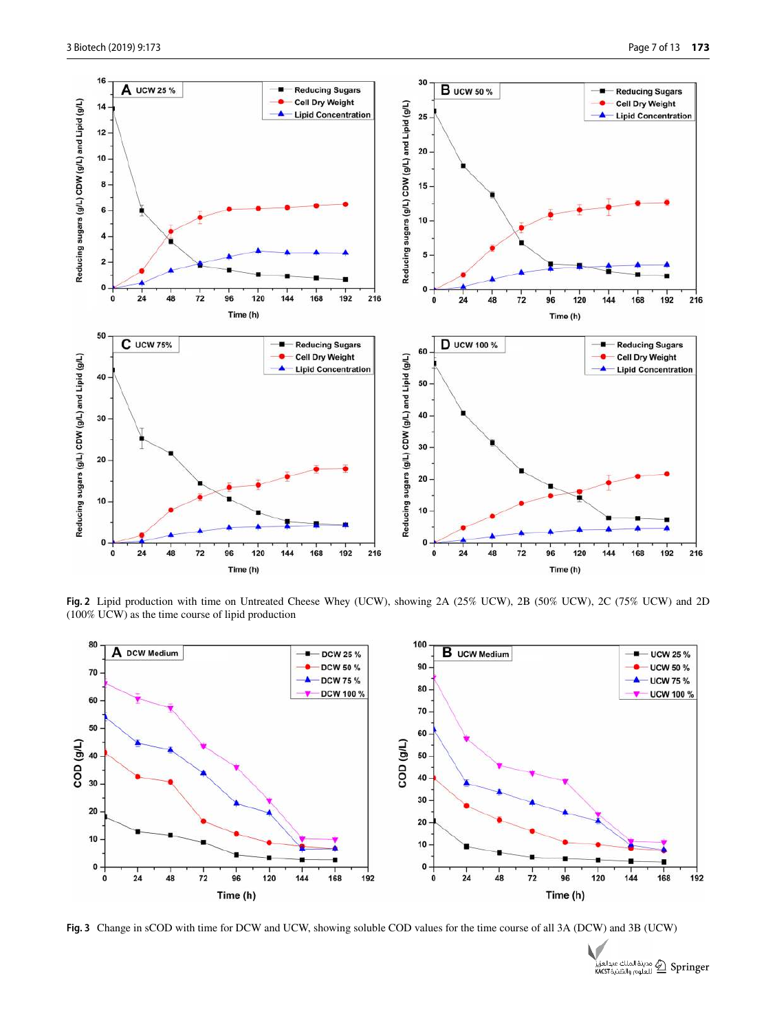

<span id="page-6-0"></span>**Fig. 2** Lipid production with time on Untreated Cheese Whey (UCW), showing 2A (25% UCW), 2B (50% UCW), 2C (75% UCW) and 2D (100% UCW) as the time course of lipid production



<span id="page-6-1"></span>**Fig. 3** Change in sCOD with time for DCW and UCW, showing soluble COD values for the time course of all 3A (DCW) and 3B (UCW)

مدينة الملك عبدالعزيز Springer<br>KACST العلوم والتقنية KACST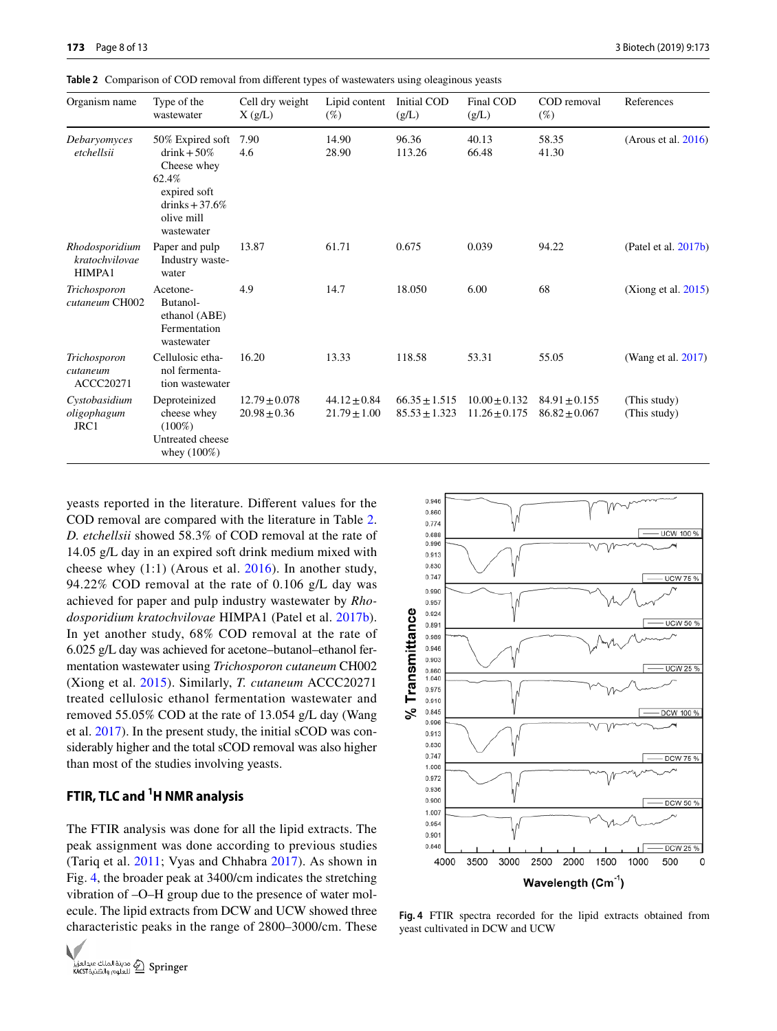<span id="page-7-0"></span>**Table 2** Comparison of COD removal from different types of wastewaters using oleaginous yeasts

| Organism name                              | Type of the<br>wastewater                                                                                                 | Cell dry weight<br>X(g/L)             | Lipid content<br>$(\%)$              | Initial COD<br>(g/L)                   | Final COD<br>(g/L)                   | COD removal<br>$(\%)$                | References                   |
|--------------------------------------------|---------------------------------------------------------------------------------------------------------------------------|---------------------------------------|--------------------------------------|----------------------------------------|--------------------------------------|--------------------------------------|------------------------------|
| Debaryomyces<br>etchellsii                 | 50% Expired soft<br>$drink + 50\%$<br>Cheese whey<br>62.4%<br>expired soft<br>drinks $+37.6%$<br>olive mill<br>wastewater | 7.90<br>4.6                           | 14.90<br>28.90                       | 96.36<br>113.26                        | 40.13<br>66.48                       | 58.35<br>41.30                       | (Arous et al. $2016$ )       |
| Rhodosporidium<br>kratochvilovae<br>HIMPA1 | Paper and pulp<br>Industry waste-<br>water                                                                                | 13.87                                 | 61.71                                | 0.675                                  | 0.039                                | 94.22                                | (Patel et al. $2017b$ )      |
| Trichosporon<br>cutaneum CH002             | Acetone-<br>Butanol-<br>ethanol (ABE)<br>Fermentation<br>wastewater                                                       | 4.9                                   | 14.7                                 | 18.050                                 | 6.00                                 | 68                                   | (Xiong et al. $2015$ )       |
| Trichosporon<br>cutaneum<br>ACCC20271      | Cellulosic etha-<br>nol fermenta-<br>tion wastewater                                                                      | 16.20                                 | 13.33                                | 118.58                                 | 53.31                                | 55.05                                | (Wang et al. 2017)           |
| Cystobasidium<br>oligophagum<br>JRC1       | Deproteinized<br>cheese whey<br>$(100\%)$<br>Untreated cheese<br>whey $(100\%)$                                           | $12.79 \pm 0.078$<br>$20.98 \pm 0.36$ | $44.12 \pm 0.84$<br>$21.79 \pm 1.00$ | $66.35 \pm 1.515$<br>$85.53 \pm 1.323$ | $10.00 + 0.132$<br>$11.26 \pm 0.175$ | $84.91 + 0.155$<br>$86.82 \pm 0.067$ | (This study)<br>(This study) |

yeasts reported in the literature. Different values for the COD removal are compared with the literature in Table [2.](#page-7-0) *D. etchellsii* showed 58.3% of COD removal at the rate of 14.05 g/L day in an expired soft drink medium mixed with cheese whey (1:1) (Arous et al. [2016](#page-11-10)). In another study, 94.22% COD removal at the rate of 0.106 g/L day was achieved for paper and pulp industry wastewater by *Rhodosporidium kratochvilovae* HIMPA1 (Patel et al. [2017b](#page-11-4)). In yet another study, 68% COD removal at the rate of 6.025 g/L day was achieved for acetone–butanol–ethanol fermentation wastewater using *Trichosporon cutaneum* CH002 (Xiong et al. [2015](#page-12-2)). Similarly, *T. cutaneum* ACCC20271 treated cellulosic ethanol fermentation wastewater and removed 55.05% COD at the rate of 13.054 g/L day (Wang et al. [2017](#page-12-0)). In the present study, the initial sCOD was considerably higher and the total sCOD removal was also higher than most of the studies involving yeasts.

## **FTIR, TLC and 1H NMR analysis**

The FTIR analysis was done for all the lipid extracts. The peak assignment was done according to previous studies (Tariq et al. [2011](#page-11-31); Vyas and Chhabra [2017](#page-12-1)). As shown in Fig. [4](#page-7-1), the broader peak at 3400/cm indicates the stretching vibration of –O–H group due to the presence of water molecule. The lipid extracts from DCW and UCW showed three characteristic peaks in the range of 2800–3000/cm. These





<span id="page-7-1"></span>**Fig. 4** FTIR spectra recorded for the lipid extracts obtained from yeast cultivated in DCW and UCW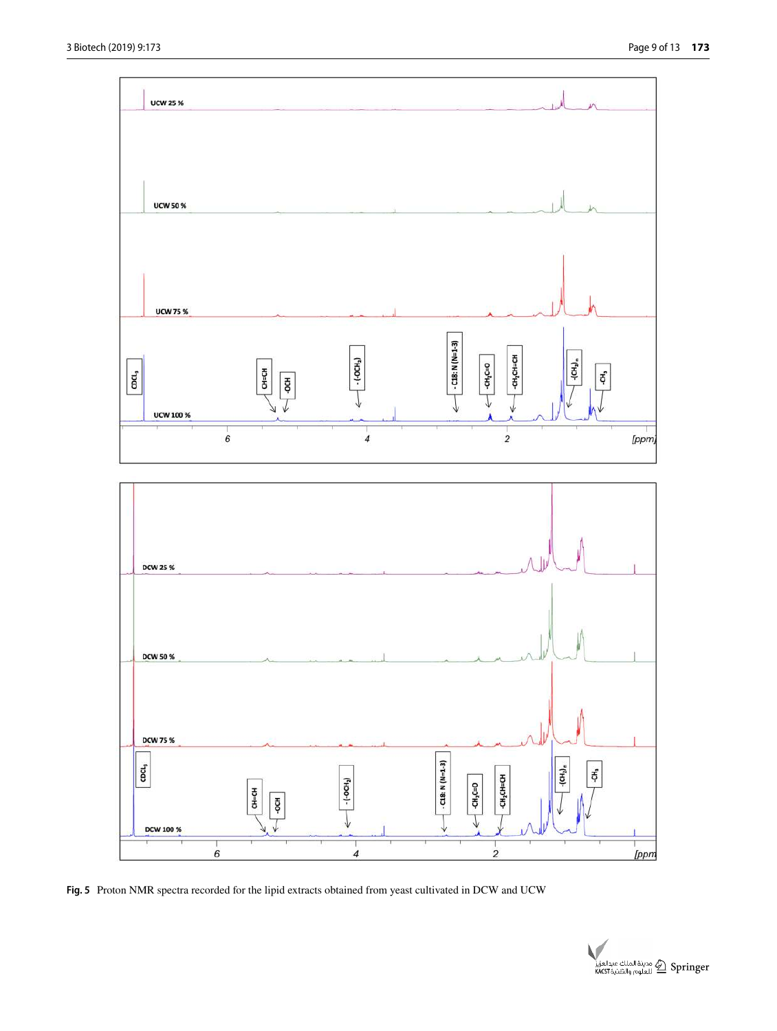

<span id="page-8-0"></span>**Fig. 5** Proton NMR spectra recorded for the lipid extracts obtained from yeast cultivated in DCW and UCW

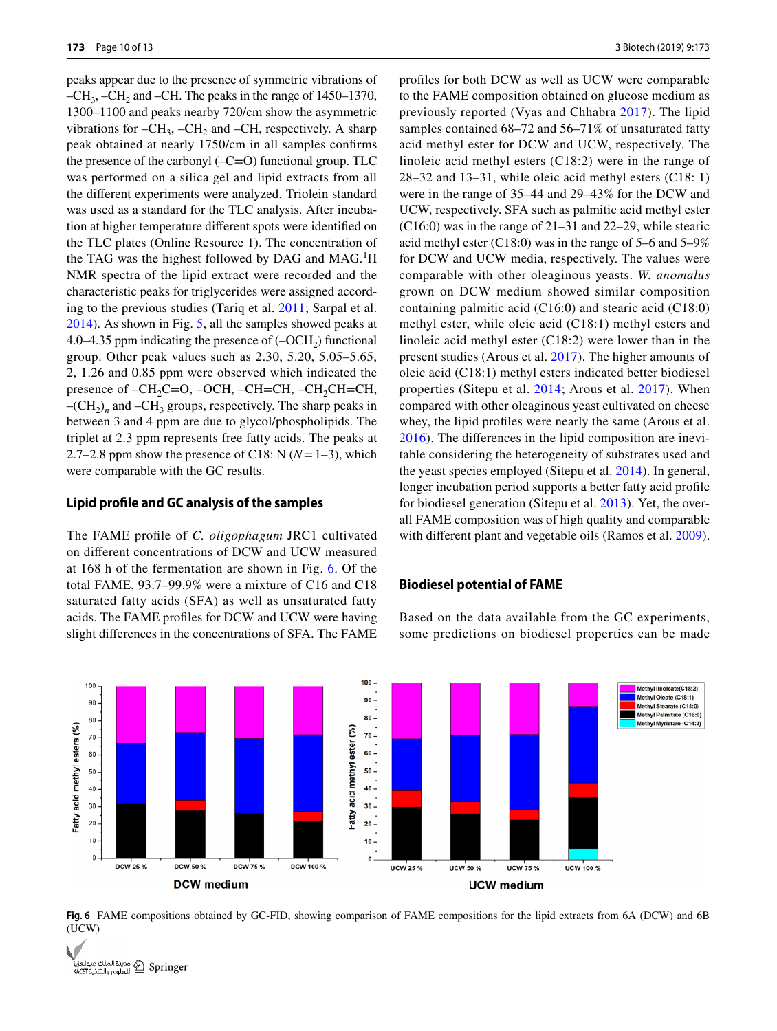peaks appear due to the presence of symmetric vibrations of  $-CH_3$ ,  $-CH_2$  and  $-CH$ . The peaks in the range of 1450–1370, 1300–1100 and peaks nearby 720/cm show the asymmetric vibrations for  $-CH_3$ ,  $-CH_2$  and  $-CH$ , respectively. A sharp peak obtained at nearly 1750/cm in all samples confirms the presence of the carbonyl (–C=O) functional group. TLC was performed on a silica gel and lipid extracts from all the different experiments were analyzed. Triolein standard was used as a standard for the TLC analysis. After incubation at higher temperature different spots were identified on the TLC plates (Online Resource 1). The concentration of the TAG was the highest followed by DAG and MAG.<sup>1</sup>H NMR spectra of the lipid extract were recorded and the characteristic peaks for triglycerides were assigned according to the previous studies (Tariq et al. [2011](#page-11-31); Sarpal et al. [2014](#page-11-17)). As shown in Fig. [5,](#page-8-0) all the samples showed peaks at 4.0–4.35 ppm indicating the presence of  $(-OCH<sub>2</sub>)$  functional group. Other peak values such as 2.30, 5.20, 5.05–5.65, 2, 1.26 and 0.85 ppm were observed which indicated the presence of  $-CH_2C=O$ ,  $-OCH$ ,  $-CH=CH$ ,  $-CH_2CH=CH$ ,  $-(CH<sub>2</sub>)<sub>n</sub>$  and  $-CH<sub>3</sub>$  groups, respectively. The sharp peaks in between 3 and 4 ppm are due to glycol/phospholipids. The triplet at 2.3 ppm represents free fatty acids. The peaks at 2.7–2.8 ppm show the presence of C18: N  $(N=1-3)$ , which were comparable with the GC results.

#### **Lipid profile and GC analysis of the samples**

The FAME profile of *C. oligophagum* JRC1 cultivated on different concentrations of DCW and UCW measured at 168 h of the fermentation are shown in Fig. [6](#page-9-0). Of the total FAME, 93.7–99.9% were a mixture of C16 and C18 saturated fatty acids (SFA) as well as unsaturated fatty acids. The FAME profiles for DCW and UCW were having slight differences in the concentrations of SFA. The FAME profiles for both DCW as well as UCW were comparable to the FAME composition obtained on glucose medium as previously reported (Vyas and Chhabra [2017](#page-12-1)). The lipid samples contained 68–72 and 56–71% of unsaturated fatty acid methyl ester for DCW and UCW, respectively. The linoleic acid methyl esters (C18:2) were in the range of 28–32 and 13–31, while oleic acid methyl esters (C18: 1) were in the range of 35–44 and 29–43% for the DCW and UCW, respectively. SFA such as palmitic acid methyl ester (C16:0) was in the range of 21–31 and 22–29, while stearic acid methyl ester (C18:0) was in the range of 5–6 and 5–9% for DCW and UCW media, respectively. The values were comparable with other oleaginous yeasts. *W. anomalus* grown on DCW medium showed similar composition containing palmitic acid (C16:0) and stearic acid (C18:0) methyl ester, while oleic acid (C18:1) methyl esters and linoleic acid methyl ester (C18:2) were lower than in the present studies (Arous et al. [2017\)](#page-11-11). The higher amounts of oleic acid (C18:1) methyl esters indicated better biodiesel properties (Sitepu et al. [2014](#page-11-32); Arous et al. [2017](#page-11-11)). When compared with other oleaginous yeast cultivated on cheese whey, the lipid profiles were nearly the same (Arous et al. [2016\)](#page-11-10). The differences in the lipid composition are inevitable considering the heterogeneity of substrates used and the yeast species employed (Sitepu et al. [2014\)](#page-11-32). In general, longer incubation period supports a better fatty acid profile for biodiesel generation (Sitepu et al. [2013\)](#page-11-25). Yet, the overall FAME composition was of high quality and comparable with different plant and vegetable oils (Ramos et al. [2009](#page-11-33)).

## **Biodiesel potential of FAME**

Based on the data available from the GC experiments, some predictions on biodiesel properties can be made



<span id="page-9-0"></span>**Fig. 6** FAME compositions obtained by GC-FID, showing comparison of FAME compositions for the lipid extracts from 6A (DCW) and 6B (UCW)

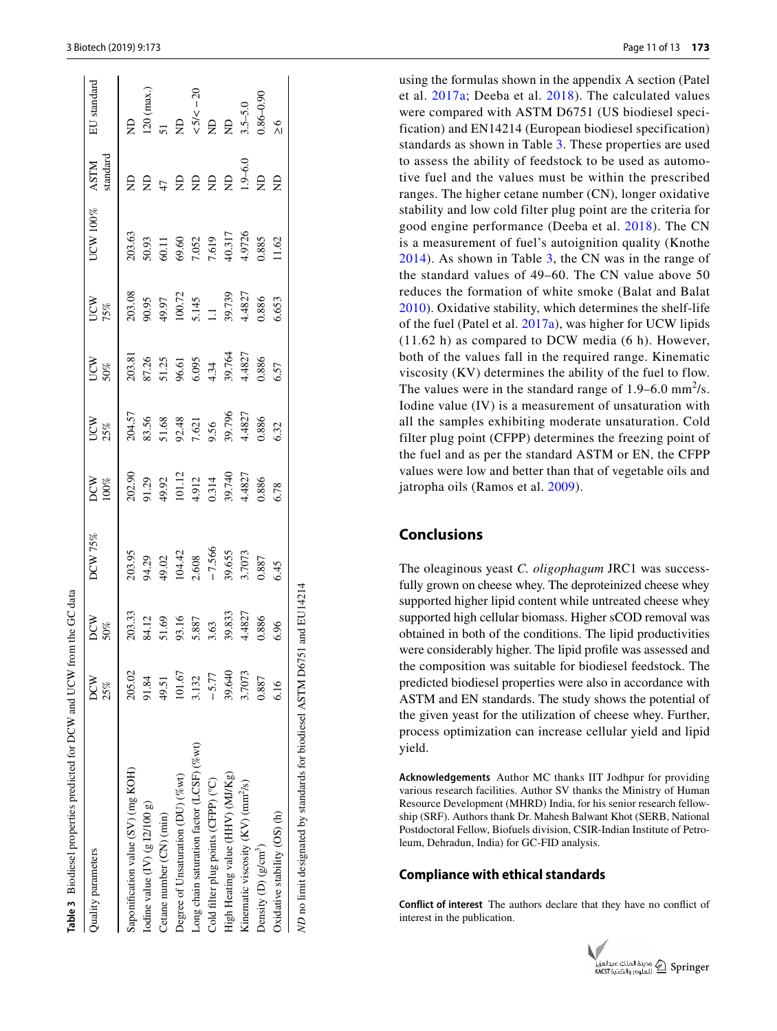| Table 3 Biodiesel properties predicted for DCW and UCW from the GC data |            |                                                                        |                                                                 |                                                                         |                                                           |                                                                 |                                                                |                                                     |                         |                                                                                                   |
|-------------------------------------------------------------------------|------------|------------------------------------------------------------------------|-----------------------------------------------------------------|-------------------------------------------------------------------------|-----------------------------------------------------------|-----------------------------------------------------------------|----------------------------------------------------------------|-----------------------------------------------------|-------------------------|---------------------------------------------------------------------------------------------------|
| Quality parameters                                                      | DCW<br>25% | DCW<br>50%                                                             | DCW 75%                                                         | XQX<br>100%                                                             | UCW<br>25%                                                | UCW<br>50%                                                      | UCW<br>75%                                                     | $JCW100\%$                                          | standard<br><b>ASTM</b> | EU standard                                                                                       |
| Saponification value (SV) (mg KOH)                                      | 205.02     |                                                                        |                                                                 |                                                                         |                                                           |                                                                 |                                                                | 203.63                                              | Ê                       | $\overline{z}$                                                                                    |
| Iodine value $(IV)$ (g $12/100$ g)                                      | 91.84      | 203.33<br>84.12<br>51.69<br>51.69<br>5.887<br>5.63<br>39.833<br>39.827 | 203.95<br>94.29<br>49.02<br>104.42<br>1.566<br>-7.566<br>93.655 | 202.90<br>91.29<br>49.92<br>4.912<br>4.912<br>0.314<br>39.740<br>39.740 | 204.57<br>83.56<br>51.68<br>9.56<br>9.56<br>9.56<br>9.796 | 203.81<br>87.26<br>87.25<br>96.61<br>4.34<br>4.39.764<br>39.764 | 203.08<br>90.95<br>49.97<br>100.72<br>1.145<br>5.145<br>1.4827 |                                                     | $B = 5B$                | $(20 \text{ (max.}))$                                                                             |
| Cetane number (CN) (min)                                                | 49.51      |                                                                        |                                                                 |                                                                         |                                                           |                                                                 |                                                                |                                                     |                         |                                                                                                   |
| Degree of Unsaturation (DU) (%wt)                                       | 101.67     |                                                                        |                                                                 |                                                                         |                                                           |                                                                 |                                                                | 50.93<br>60.11<br>69.60<br>7.619<br>7.619<br>40.317 |                         | 51<br>ND<br>$\sqrt{5}/\sqrt{-20}$<br>$\sqrt{5}/\sqrt{-20}$<br>$\sqrt{25}/5.0$<br>$\sqrt{3.5}-5.0$ |
| Long chain saturation factor (LCSF) (%wt)                               | 3.132      |                                                                        |                                                                 |                                                                         |                                                           |                                                                 |                                                                |                                                     |                         |                                                                                                   |
| Cold filter plug points (CFPP) (°C)                                     | $-5.77$    |                                                                        |                                                                 |                                                                         |                                                           |                                                                 |                                                                |                                                     |                         |                                                                                                   |
| High Heating value (HHV) (MJ/Kg)                                        | 39.640     |                                                                        |                                                                 |                                                                         |                                                           |                                                                 |                                                                |                                                     |                         |                                                                                                   |
| Kinematic viscosity (KV) (mm <sup>2</sup> /s)                           | 3.7073     |                                                                        |                                                                 |                                                                         |                                                           |                                                                 |                                                                |                                                     | $1.9 - 6.0$             |                                                                                                   |
| Density $(D)$ (g/cm <sup>-)</sup> )                                     | 0.887      | 0.886                                                                  | 0.887                                                           | 0.886<br>5.78                                                           | 0.886                                                     | 0.886<br>6.57                                                   | 0.886                                                          | 0.885                                               | $\overline{z}$          | $0.86 - 0.90$                                                                                     |
| Oxidative stability (OS) (h)                                            | 6.16       | 6.96                                                                   | 6.45                                                            |                                                                         | 5.32                                                      |                                                                 | 5.653                                                          |                                                     | $\epsilon$              | $\frac{6}{1}$                                                                                     |
| ND no limit designated by standards for biodiesel ASTM D675             |            | and EU14214                                                            |                                                                 |                                                                         |                                                           |                                                                 |                                                                |                                                     |                         |                                                                                                   |

using the formulas shown in the appendix A section (Patel et al. [2017a](#page-11-20); Deeba et al. [2018](#page-11-21)). The calculated values were compared with ASTM D6751 (US biodiesel speci fication) and EN14214 (European biodiesel specification) standards as shown in Table [3.](#page-10-0) These properties are used to assess the ability of feedstock to be used as automo tive fuel and the values must be within the prescribed ranges. The higher cetane number (CN), longer oxidative stability and low cold filter plug point are the criteria for good engine performance (Deeba et al. [2018\)](#page-11-21). The CN is a measurement of fuel's autoignition quality (Knothe [2014](#page-11-34)). As shown in Table [3](#page-10-0), the CN was in the range of the standard values of 49–60. The CN value above 50 reduces the formation of white smoke (Balat and Balat [2010\)](#page-11-35). Oxidative stability, which determines the shelf-life of the fuel (Patel et al. [2017a](#page-11-20)), was higher for UCW lipids (11.62 h) as compared to DCW media (6 h). However, both of the values fall in the required range. Kinematic viscosity (KV) determines the ability of the fuel to flow. The values were in the standard range of  $1.9-6.0$  mm<sup>2</sup>/s. Iodine value (IV) is a measurement of unsaturation with all the samples exhibiting moderate unsaturation. Cold filter plug point (CFPP) determines the freezing point of the fuel and as per the standard ASTM or EN, the CFPP values were low and better than that of vegetable oils and jatropha oils (Ramos et al. [2009](#page-11-33)).

# **Conclusions**

The oleaginous yeast *C. oligophagum* JRC1 was success fully grown on cheese whey. The deproteinized cheese whey supported higher lipid content while untreated cheese whey supported high cellular biomass. Higher sCOD removal was obtained in both of the conditions. The lipid productivities were considerably higher. The lipid profile was assessed and the composition was suitable for biodiesel feedstock. The predicted biodiesel properties were also in accordance with ASTM and EN standards. The study shows the potential of the given yeast for the utilization of cheese whey. Further, process optimization can increase cellular yield and lipid yield.

**Acknowledgements** Author MC thanks IIT Jodhpur for providing various research facilities. Author SV thanks the Ministry of Human Resource Development (MHRD) India, for his senior research fellow ship (SRF). Authors thank Dr. Mahesh Balwant Khot (SERB, National Postdoctoral Fellow, Biofuels division, CSIR-Indian Institute of Petro leum, Dehradun, India) for GC-FID analysis.

## **Compliance with ethical standards**

<span id="page-10-0"></span>**Conflict of interest** The authors declare that they have no conflict of interest in the publication.

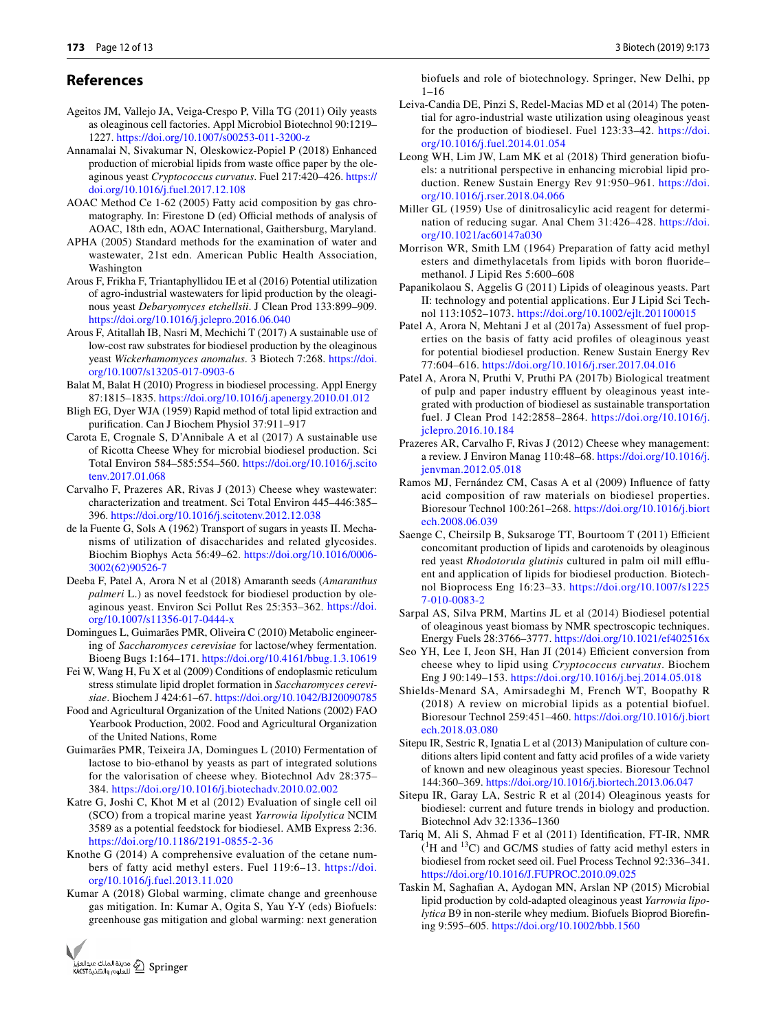## **References**

- <span id="page-11-26"></span>Ageitos JM, Vallejo JA, Veiga-Crespo P, Villa TG (2011) Oily yeasts as oleaginous cell factories. Appl Microbiol Biotechnol 90:1219– 1227. [https ://doi.org/10.1007/s0025 3-011-3200-z](https://doi.org/10.1007/s00253-011-3200-z)
- <span id="page-11-28"></span>Annamalai N, Sivakumar N, Oleskowicz-Popiel P (2018) Enhanced production of microbial lipids from waste office paper by the oleaginous yeast *Cryptococcus curvatus*. Fuel 217:420–426. [https ://](https://doi.org/10.1016/j.fuel.2017.12.108) [doi.org/10.1016/j.fuel.2017.12.108](https://doi.org/10.1016/j.fuel.2017.12.108)
- <span id="page-11-19"></span>AOAC Method Ce 1-62 (2005) Fatty acid composition by gas chromatography. In: Firestone D (ed) Official methods of analysis of AOAC, 18th edn, AOAC International, Gaithersburg, Maryland.
- <span id="page-11-14"></span>APHA (2005) Standard methods for the examination of water and wastewater, 21st edn. American Public Health Association, Washington
- <span id="page-11-10"></span>Arous F, Frikha F, Triantaphyllidou IE et al (2016) Potential utilization of agro-industrial wastewaters for lipid production by the oleaginous yeast *Debaryomyces etchellsii*. J Clean Prod 133:899–909. https://doi.org/10.1016/j.jclepro.2016.06.040
- <span id="page-11-11"></span>Arous F, Atitallah IB, Nasri M, Mechichi T (2017) A sustainable use of low-cost raw substrates for biodiesel production by the oleaginous yeast Wickerhamomyces anomalus. 3 Biotech 7:268. https://doi. org/10.1007/s13205-017-0903-6
- <span id="page-11-35"></span>Balat M, Balat H (2010) Progress in biodiesel processing. Appl Energy 87:1815–1835. https://doi.org/10.1016/j.apenergy.2010.01.012
- <span id="page-11-15"></span>Bligh EG, Dyer WJA (1959) Rapid method of total lipid extraction and purification. Can J Biochem Physiol 37:911–917
- <span id="page-11-29"></span>Carota E, Crognale S, D'Annibale A et al (2017) A sustainable use of Ricotta Cheese Whey for microbial biodiesel production. Sci Total Environ 584–585:554–560. [https ://doi.org/10.1016/j.scito](https://doi.org/10.1016/j.scitotenv.2017.01.068) [tenv.2017.01.068](https://doi.org/10.1016/j.scitotenv.2017.01.068)
- <span id="page-11-5"></span>Carvalho F, Prazeres AR, Rivas J (2013) Cheese whey wastewater: characterization and treatment. Sci Total Environ 445–446:385– 396. [https ://doi.org/10.1016/j.scito tenv.2012.12.038](https://doi.org/10.1016/j.scitotenv.2012.12.038)
- <span id="page-11-23"></span>de la Fuente G, Sols A (1962) Transport of sugars in yeasts II. Mechanisms of utilization of disaccharides and related glycosides. Biochim Biophys Acta 56:49–62. [https ://doi.org/10.1016/0006-](https://doi.org/10.1016/0006-3002(62)90526-7) [3002\(62\)90526 -7](https://doi.org/10.1016/0006-3002(62)90526-7)
- <span id="page-11-21"></span>Deeba F, Patel A, Arora N et al (2018) Amaranth seeds (*Amaranthus palmeri* L.) as novel feedstock for biodiesel production by oleaginous yeast. Environ Sci Pollut Res 25:353-362. https://doi. org/10.1007/s11356-017-0444-x
- <span id="page-11-12"></span>Domingues L, Guimarães PMR, Oliveira C (2010) Metabolic engineering of *Saccharomyces cerevisiae* for lactose/whey fermentation. Bioeng Bugs 1:164–171. [https ://doi.org/10.4161/bbug.1.3.10619](https://doi.org/10.4161/bbug.1.3.10619)
- <span id="page-11-16"></span>Fei W, Wang H, Fu X et al (2009) Conditions of endoplasmic reticulum stress stimulate lipid droplet formation in *Saccharomyces cerevi*siae. Biochem J 424:61-67. https://doi.org/10.1042/BJ20090785
- <span id="page-11-6"></span>Food and Agricultural Organization of the United Nations (2002) FAO Yearbook Production, 2002. Food and Agricultural Organization of the United Nations, Rome
- <span id="page-11-9"></span>Guimarães PMR, Teixeira JA, Domingues L (2010) Fermentation of lactose to bio-ethanol by yeasts as part of integrated solutions for the valorisation of cheese whey. Biotechnol Adv 28:375– 384. [https ://doi.org/10.1016/j.biote chadv .2010.02.002](https://doi.org/10.1016/j.biotechadv.2010.02.002)
- <span id="page-11-30"></span>Katre G, Joshi C, Khot M et al (2012) Evaluation of single cell oil (SCO) from a tropical marine yeast *Yarrowia lipolytica* NCIM 3589 as a potential feedstock for biodiesel. AMB Express 2:36. [https ://doi.org/10.1186/2191-0855-2-36](https://doi.org/10.1186/2191-0855-2-36)
- <span id="page-11-34"></span>Knothe G (2014) A comprehensive evaluation of the cetane numbers of fatty acid methyl esters. Fuel 119:6-13. https://doi. [org/10.1016/j.fuel.2013.11.020](https://doi.org/10.1016/j.fuel.2013.11.020)
- <span id="page-11-0"></span>Kumar A (2018) Global warming, climate change and greenhouse gas mitigation. In: Kumar A, Ogita S, Yau Y-Y (eds) Biofuels: greenhouse gas mitigation and global warming: next generation

Sarpal AS, Silva PRM, Martins JL et al (2014) Biodiesel potential of oleaginous yeast biomass by NMR spectroscopic techniques. Energy Fuels 28:3766–3777. https://doi.org/10.1021/ef402516x

- <span id="page-11-17"></span><span id="page-11-7"></span>Seo YH, Lee I, Jeon SH, Han JI (2014) Efficient conversion from cheese whey to lipid using *Cryptococcus curvatus*. Biochem Eng J 90:149–153. [https ://doi.org/10.1016/j.bej.2014.05.018](https://doi.org/10.1016/j.bej.2014.05.018)
- <span id="page-11-2"></span>Shields-Menard SA, Amirsadeghi M, French WT, Boopathy R (2018) A review on microbial lipids as a potential biofuel. Bioresour Technol 259:451–460. [https ://doi.org/10.1016/j.biort](https://doi.org/10.1016/j.biortech.2018.03.080) [ech.2018.03.080](https://doi.org/10.1016/j.biortech.2018.03.080)
- <span id="page-11-25"></span>Sitepu IR, Sestric R, Ignatia L et al (2013) Manipulation of culture conditions alters lipid content and fatty acid profiles of a wide variety of known and new oleaginous yeast species. Bioresour Technol 144:360-369. https://doi.org/10.1016/j.biortech.2013.06.047
- <span id="page-11-32"></span>Sitepu IR, Garay LA, Sestric R et al (2014) Oleaginous yeasts for biodiesel: current and future trends in biology and production. Biotechnol Adv 32:1336–1360
- <span id="page-11-31"></span>Tariq M, Ali S, Ahmad F et al (2011) Identification, FT-IR, NMR  $(^{1}H$  and  $^{13}C$ ) and GC/MS studies of fatty acid methyl esters in biodiesel from rocket seed oil. Fuel Process Technol 92:336–341. https://doi.org/10.1016/J.FUPROC.2010.09.025
- <span id="page-11-8"></span>Taskin M, Saghafian A, Aydogan MN, Arslan NP (2015) Microbial lipid production by cold-adapted oleaginous yeast *Yarrowia lipolytica* B9 in non-sterile whey medium. Biofuels Bioprod Biorefining 9:595–605. [https ://doi.org/10.1002/bbb.1560](https://doi.org/10.1002/bbb.1560)

biofuels and role of biotechnology. Springer, New Delhi, pp 1–16

- <span id="page-11-3"></span>Leiva-Candia DE, Pinzi S, Redel-Macias MD et al (2014) The potential for agro-industrial waste utilization using oleaginous yeast for the production of biodiesel. Fuel 123:33-42. https://doi. [org/10.1016/j.fuel.2014.01.054](https://doi.org/10.1016/j.fuel.2014.01.054)
- <span id="page-11-1"></span>Leong WH, Lim JW, Lam MK et al (2018) Third generation biofuels: a nutritional perspective in enhancing microbial lipid production. Renew Sustain Energy Rev 91:950-961. https://doi. [org/10.1016/j.rser.2018.04.066](https://doi.org/10.1016/j.rser.2018.04.066)
- <span id="page-11-13"></span>Miller GL (1959) Use of dinitrosalicylic acid reagent for determination of reducing sugar. Anal Chem 31:426-428. https://doi. org/10.1021/ac60147a030
- <span id="page-11-18"></span>Morrison WR, Smith LM (1964) Preparation of fatty acid methyl esters and dimethylacetals from lipids with boron fluoride– methanol. J Lipid Res 5:600–608
- <span id="page-11-27"></span>Papanikolaou S, Aggelis G (2011) Lipids of oleaginous yeasts. Part II: technology and potential applications. Eur J Lipid Sci Technol 113:1052-1073. https://doi.org/10.1002/ejlt.201100015
- <span id="page-11-20"></span>Patel A, Arora N, Mehtani J et al (2017a) Assessment of fuel properties on the basis of fatty acid profiles of oleaginous yeast for potential biodiesel production. Renew Sustain Energy Rev 77:604–616. [https ://doi.org/10.1016/j.rser.2017.04.016](https://doi.org/10.1016/j.rser.2017.04.016)
- <span id="page-11-4"></span>Patel A, Arora N, Pruthi V, Pruthi PA (2017b) Biological treatment of pulp and paper industry effluent by oleaginous yeast integrated with production of biodiesel as sustainable transportation fuel. J Clean Prod 142:2858-2864. https://doi.org/10.1016/j. [jclep ro.2016.10.184](https://doi.org/10.1016/j.jclepro.2016.10.184)
- <span id="page-11-22"></span>Prazeres AR, Carvalho F, Rivas J (2012) Cheese whey management: a review. J Environ Manag 110:48–68. [https ://doi.org/10.1016/j.](https://doi.org/10.1016/j.jenvman.2012.05.018) jenvm an. 2012.05.018
- <span id="page-11-33"></span>Ramos MJ, Fernández CM, Casas A et al (2009) Influence of fatty acid composition of raw materials on biodiesel properties. Bioresour Technol 100:261–268. [https ://doi.org/10.1016/j.biort](https://doi.org/10.1016/j.biortech.2008.06.039) [ech.2008.06.039](https://doi.org/10.1016/j.biortech.2008.06.039)
- <span id="page-11-24"></span>Saenge C, Cheirsilp B, Suksaroge TT, Bourtoom T (2011) Efficient concomitant production of lipids and carotenoids by oleaginous red yeast *Rhodotorula glutinis* cultured in palm oil mill effluent and application of lipids for biodiesel production. Biotechnol Bioprocess Eng 16:23–33. [https ://doi.org/10.1007/s1225](https://doi.org/10.1007/s12257-010-0083-2) [7-010-0083-2](https://doi.org/10.1007/s12257-010-0083-2)

3 Biotech (2019) 9:173